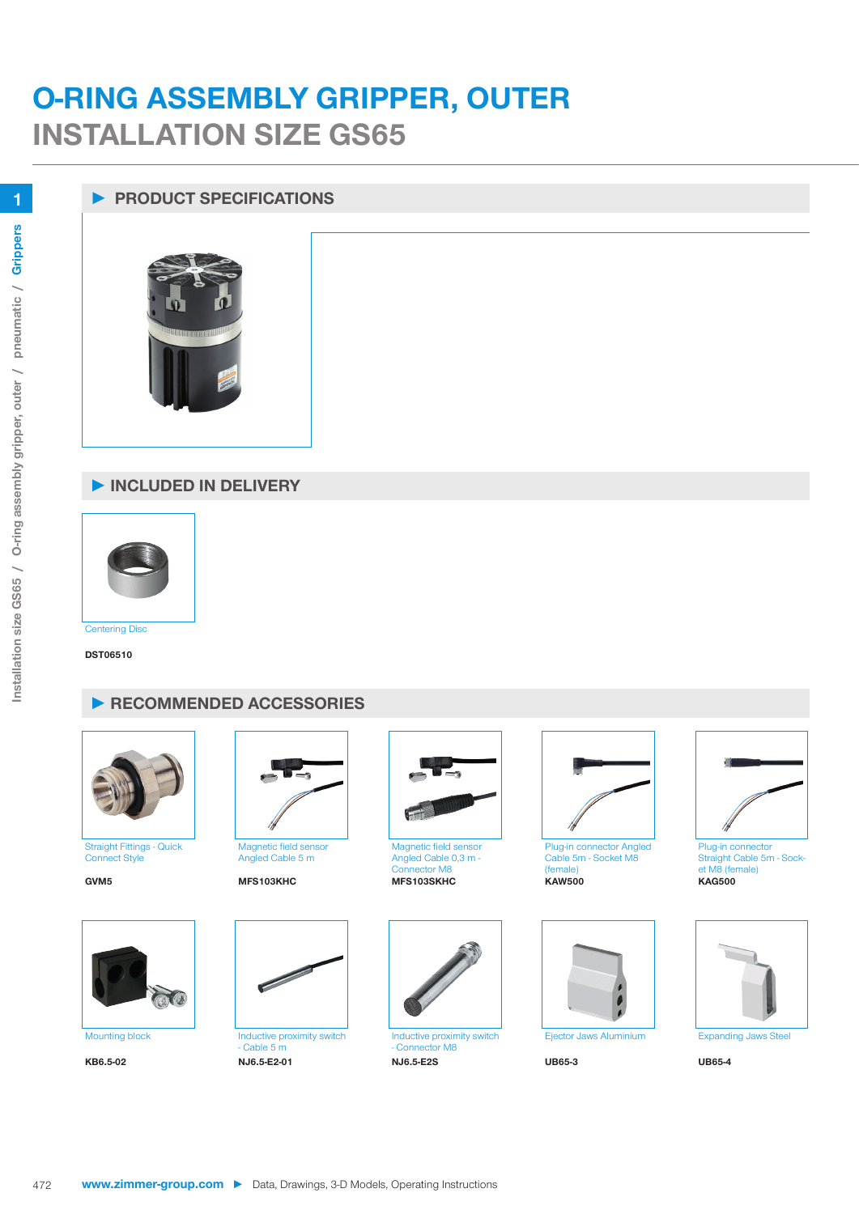## **O-RING ASSEMBLY GRIPPER, OUTER INSTALLATION SIZE GS65**

## **► PRODUCT SPECIFICATIONS**



## **► INCLUDED IN DELIVERY**



**Centering Disc** 

**DST06510**

## **► RECOMMENDED ACCESSORIES**



Straight Fittings - Quick Connect Style





Magnetic field sensor Angled Cable 5 m





 $-$  Cable 5 m<br>NJ6.5-E2-01 **KB6.5-02 NJ6.5-E2-01 NJ6.5-E2S UB65-3 UB65-4**



Magnetic field sensor Angled Cable 0,3 m - Connector M8



Inductive proximity switch - Connector M8<br>NJ6.5-E2S



Plug-in connector Angled Cable 5m - Socket M8 (female)<br>KAW500





Plug-in connector Straight Cable 5m - Socket M8 (female)<br>KAG500



**1**